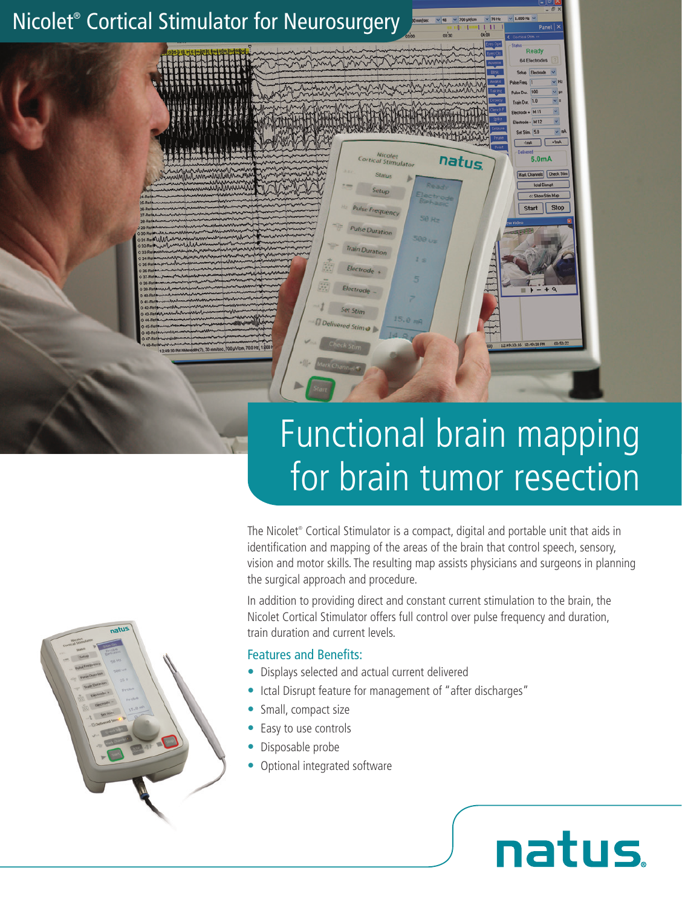

# Functional brain mapping for brain tumor resection

The Nicolet® Cortical Stimulator is a compact, digital and portable unit that aids in identification and mapping of the areas of the brain that control speech, sensory, vision and motor skills. The resulting map assists physicians and surgeons in planning the surgical approach and procedure.

In addition to providing direct and constant current stimulation to the brain, the Nicolet Cortical Stimulator offers full control over pulse frequency and duration, train duration and current levels.

natus

#### Features and Benefits:

- Displays selected and actual current delivered
- Ictal Disrupt feature for management of "after discharges"
- Small, compact size
- Easy to use controls
- Disposable probe
- Optional integrated software